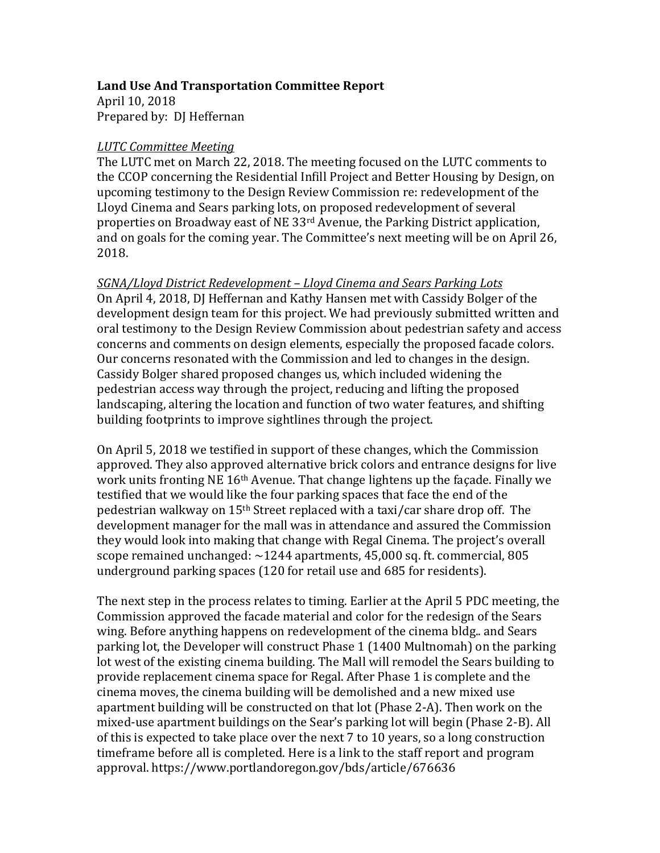#### Land Use And Transportation Committee Report

April 10, 2018 Prepared by: DJ Heffernan

#### *LUTC Committee Meeting*

The LUTC met on March 22, 2018. The meeting focused on the LUTC comments to the CCOP concerning the Residential Infill Project and Better Housing by Design, on upcoming testimony to the Design Review Commission re: redevelopment of the Lloyd Cinema and Sears parking lots, on proposed redevelopment of several properties on Broadway east of NE 33<sup>rd</sup> Avenue, the Parking District application. and on goals for the coming year. The Committee's next meeting will be on April 26, 2018.

*SGNA/Lloyd District Redevelopment – Lloyd Cinema and Sears Parking Lots* On April 4, 2018, DJ Heffernan and Kathy Hansen met with Cassidy Bolger of the development design team for this project. We had previously submitted written and oral testimony to the Design Review Commission about pedestrian safety and access concerns and comments on design elements, especially the proposed facade colors. Our concerns resonated with the Commission and led to changes in the design. Cassidy Bolger shared proposed changes us, which included widening the pedestrian access way through the project, reducing and lifting the proposed landscaping, altering the location and function of two water features, and shifting building footprints to improve sightlines through the project.

On April 5, 2018 we testified in support of these changes, which the Commission approved. They also approved alternative brick colors and entrance designs for live work units fronting NE 16<sup>th</sup> Avenue. That change lightens up the façade. Finally we testified that we would like the four parking spaces that face the end of the pedestrian walkway on  $15<sup>th</sup>$  Street replaced with a taxi/car share drop off. The development manager for the mall was in attendance and assured the Commission they would look into making that change with Regal Cinema. The project's overall scope remained unchanged:  $\sim$ 1244 apartments, 45,000 sq. ft. commercial, 805 underground parking spaces (120 for retail use and 685 for residents).

The next step in the process relates to timing. Earlier at the April 5 PDC meeting, the Commission approved the facade material and color for the redesign of the Sears wing. Before anything happens on redevelopment of the cinema bldg.. and Sears parking lot, the Developer will construct Phase 1  $(1400$  Multnomah) on the parking lot west of the existing cinema building. The Mall will remodel the Sears building to provide replacement cinema space for Regal. After Phase 1 is complete and the cinema moves, the cinema building will be demolished and a new mixed use apartment building will be constructed on that lot (Phase 2-A). Then work on the mixed-use apartment buildings on the Sear's parking lot will begin (Phase 2-B). All of this is expected to take place over the next  $7$  to 10 years, so a long construction timeframe before all is completed. Here is a link to the staff report and program approval. https://www.portlandoregon.gov/bds/article/676636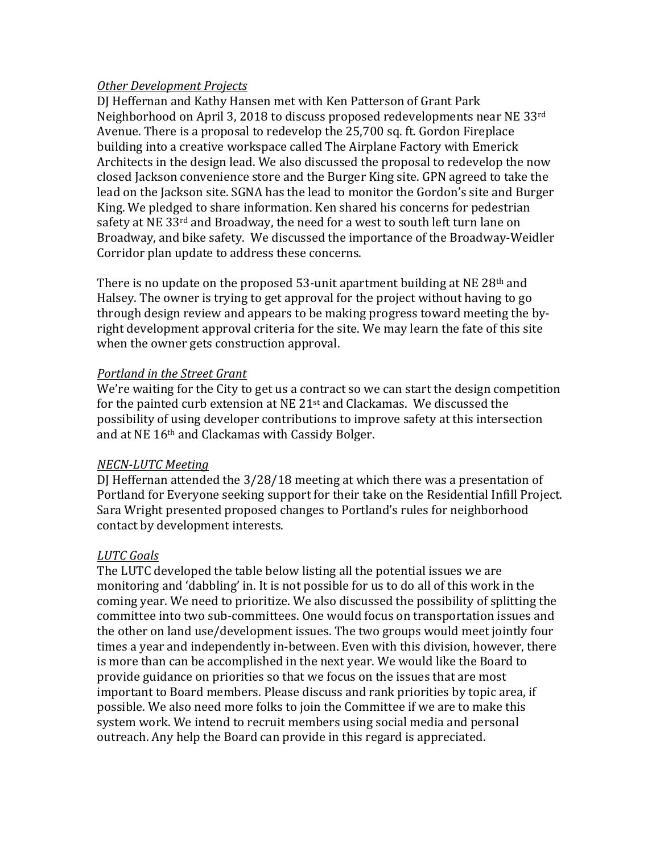#### *Other Development Projects*

DJ Heffernan and Kathy Hansen met with Ken Patterson of Grant Park Neighborhood on April 3, 2018 to discuss proposed redevelopments near NE 33 $^{\text{rd}}$ Avenue. There is a proposal to redevelop the 25,700 sq. ft. Gordon Fireplace building into a creative workspace called The Airplane Factory with Emerick Architects in the design lead. We also discussed the proposal to redevelop the now closed Jackson convenience store and the Burger King site. GPN agreed to take the lead on the Jackson site. SGNA has the lead to monitor the Gordon's site and Burger King. We pledged to share information. Ken shared his concerns for pedestrian safety at NE 33<sup>rd</sup> and Broadway, the need for a west to south left turn lane on Broadway, and bike safety. We discussed the importance of the Broadway-Weidler Corridor plan update to address these concerns.

There is no update on the proposed  $53$ -unit apartment building at NE 28<sup>th</sup> and Halsey. The owner is trying to get approval for the project without having to go through design review and appears to be making progress toward meeting the byright development approval criteria for the site. We may learn the fate of this site when the owner gets construction approval.

## **Portland in the Street Grant**

We're waiting for the City to get us a contract so we can start the design competition for the painted curb extension at NE  $21<sup>st</sup>$  and Clackamas. We discussed the possibility of using developer contributions to improve safety at this intersection and at NE 16<sup>th</sup> and Clackamas with Cassidy Bolger.

## *NECN-LUTC Meeting*

DJ Heffernan attended the  $3/28/18$  meeting at which there was a presentation of Portland for Everyone seeking support for their take on the Residential Infill Project. Sara Wright presented proposed changes to Portland's rules for neighborhood contact by development interests.

## *LUTC Goals*

The LUTC developed the table below listing all the potential issues we are monitoring and 'dabbling' in. It is not possible for us to do all of this work in the coming year. We need to prioritize. We also discussed the possibility of splitting the committee into two sub-committees. One would focus on transportation issues and the other on land use/development issues. The two groups would meet jointly four times a year and independently in-between. Even with this division, however, there is more than can be accomplished in the next year. We would like the Board to provide guidance on priorities so that we focus on the issues that are most important to Board members. Please discuss and rank priorities by topic area, if possible. We also need more folks to join the Committee if we are to make this system work. We intend to recruit members using social media and personal outreach. Any help the Board can provide in this regard is appreciated.